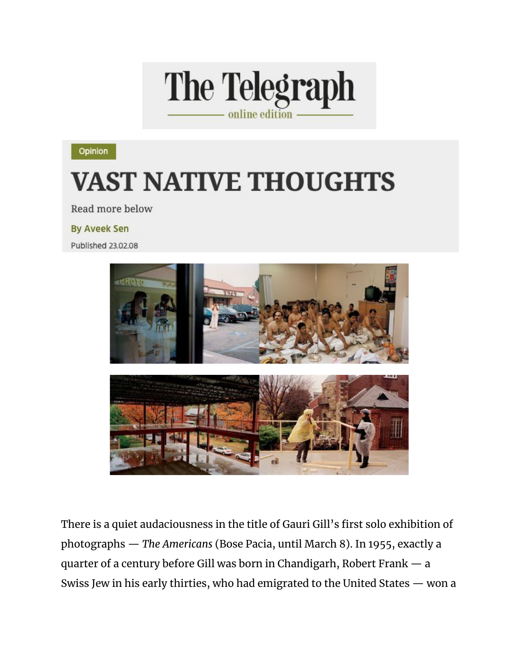

Opinion

## **VAST NATIVE THOUGHTS**

Read more below

**By Aveek Sen** 

Published 23.02.08



There is a quiet audaciousness in the title of Gauri Gill's first solo exhibition of photographs - The Americans (Bose Pacia, until March 8). In 1955, exactly a quarter of a century before Gill was born in Chandigarh, Robert Frank - a Swiss Jew in his early thirties, who had emigrated to the United States - won a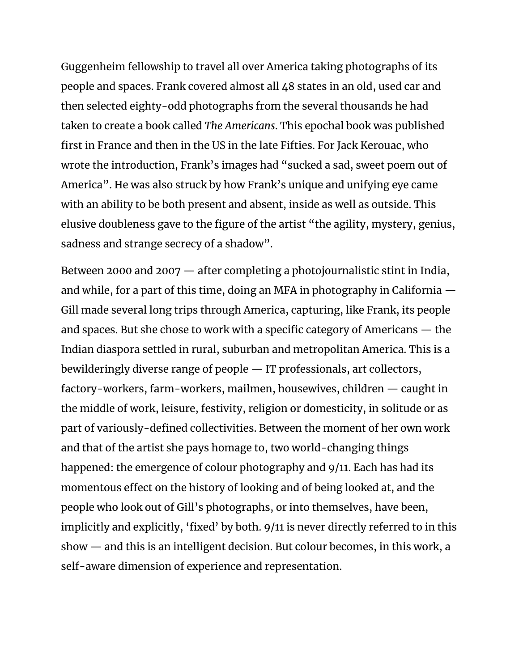Guggenheim fellowship to travel all over America taking photographs of its people and spaces. Frank covered almost all 48 states in an old, used car and then selected eighty-odd photographs from the several thousands he had taken to create a book called *The Americans*. This epochal book was published first in France and then in the US in the late Fifties. For Jack Kerouac, who wrote the introduction, Frank's images had "sucked a sad, sweet poem out of America". He was also struck by how Frank's unique and unifying eye came with an ability to be both present and absent, inside as well as outside. This elusive doubleness gave to the figure of the artist "the agility, mystery, genius, sadness and strange secrecy of a shadow".

Between 2000 and 2007 — after completing a photojournalistic stint in India, and while, for a part of this time, doing an MFA in photography in California — Gill made several long trips through America, capturing, like Frank, its people and spaces. But she chose to work with a specific category of Americans — the Indian diaspora settled in rural, suburban and metropolitan America. This is a bewilderingly diverse range of people — IT professionals, art collectors, factory-workers, farm-workers, mailmen, housewives, children — caught in the middle of work, leisure, festivity, religion or domesticity, in solitude or as part of variously-defined collectivities. Between the moment of her own work and that of the artist she pays homage to, two world-changing things happened: the emergence of colour photography and 9/11. Each has had its momentous effect on the history of looking and of being looked at, and the people who look out of Gill's photographs, or into themselves, have been, implicitly and explicitly, 'fixed' by both. 9/11 is never directly referred to in this show — and this is an intelligent decision. But colour becomes, in this work, a self-aware dimension of experience and representation.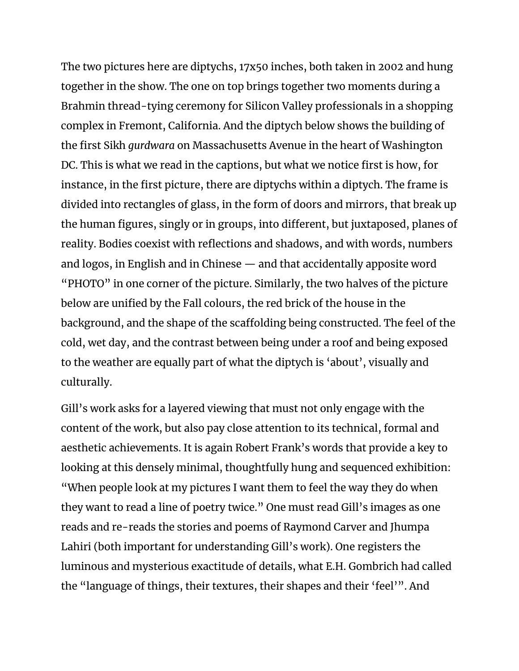The two pictures here are diptychs, 17x50 inches, both taken in 2002 and hung together in the show. The one on top brings together two moments during a Brahmin thread-tying ceremony for Silicon Valley professionals in a shopping complex in Fremont, California. And the diptych below shows the building of the first Sikh *gurdwara* on Massachusetts Avenue in the heart of Washington DC. This is what we read in the captions, but what we notice first is how, for instance, in the first picture, there are diptychs within a diptych. The frame is divided into rectangles of glass, in the form of doors and mirrors, that break up the human figures, singly or in groups, into different, but juxtaposed, planes of reality. Bodies coexist with reflections and shadows, and with words, numbers and logos, in English and in Chinese — and that accidentally apposite word "PHOTO" in one corner of the picture. Similarly, the two halves of the picture below are unified by the Fall colours, the red brick of the house in the background, and the shape of the scaffolding being constructed. The feel of the cold, wet day, and the contrast between being under a roof and being exposed to the weather are equally part of what the diptych is 'about', visually and culturally.

Gill's work asks for a layered viewing that must not only engage with the content of the work, but also pay close attention to its technical, formal and aesthetic achievements. It is again Robert Frank's words that provide a key to looking at this densely minimal, thoughtfully hung and sequenced exhibition: "When people look at my pictures I want them to feel the way they do when they want to read a line of poetry twice." One must read Gill's images as one reads and re-reads the stories and poems of Raymond Carver and Jhumpa Lahiri (both important for understanding Gill's work). One registers the luminous and mysterious exactitude of details, what E.H. Gombrich had called the "language of things, their textures, their shapes and their 'feel'". And